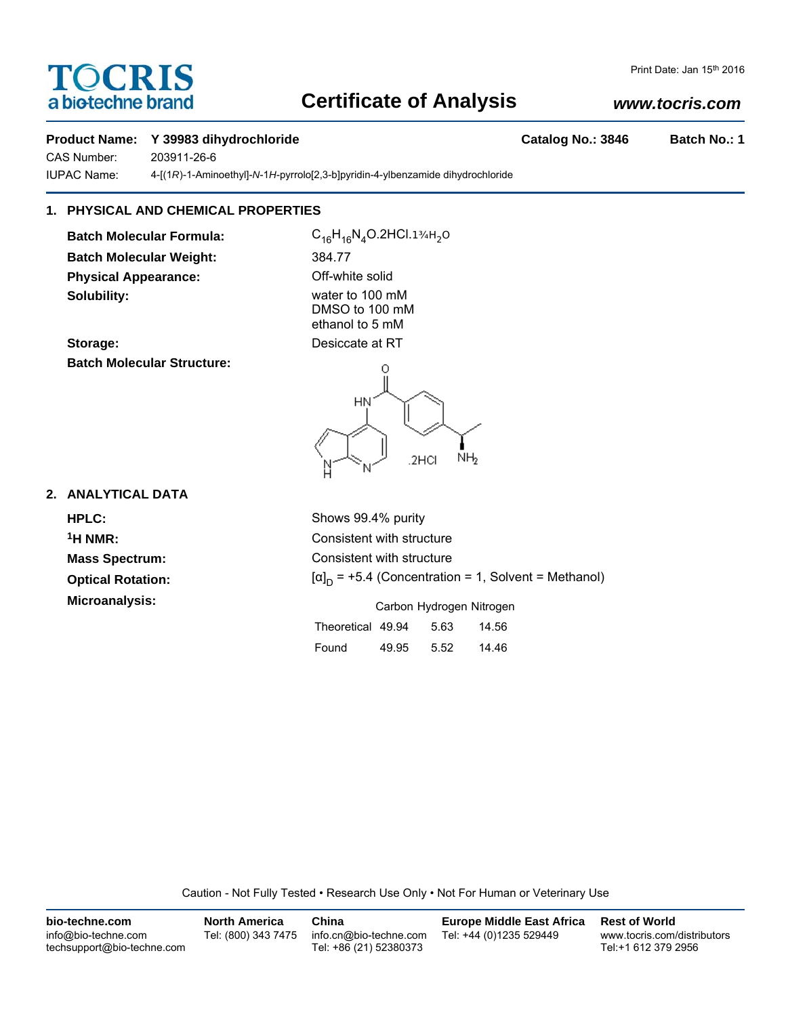# TOCRIS a biotechne brand

## **Certificate of Analysis**

## *www.tocris.com*

Print Date: Jan 15th 2016

#### **Product Name: Y 39983 dihydrochloride Catalog No.: 3846 Batch No.: 1**

CAS Number: 203911-26-6

IUPAC Name: 4-[(1*R*)-1-Aminoethyl]-*N*-1*H*-pyrrolo[2,3-b]pyridin-4-ylbenzamide dihydrochloride

## **1. PHYSICAL AND CHEMICAL PROPERTIES**

**Batch Molecular Formula:** C<sub>16</sub>H<sub>16</sub>N<sub>4</sub>O.2HCl.1¾H<sub>2</sub>O **Batch Molecular Weight:** 384.77 **Physical Appearance:** Off-white solid **Solubility:** water to 100 mM

DMSO to 100 mM ethanol to 5 mM

**Storage:** Desiccate at RT **Batch Molecular Structure:**



#### **2. ANALYTICAL DATA**

**Optical Rotation:** 

**HPLC:** Shows 99.4% purity **1H NMR:** Consistent with structure **Mass Spectrum:** Consistent with structure  $[\alpha]_D$  = +5.4 (Concentration = 1, Solvent = Methanol)

**Microanalysis:** Microanalysis: Exercise 2012 Carbon Hydrogen Nitrogen

| Theoretical 49.94 |       | 5.63 | 14.56 |
|-------------------|-------|------|-------|
| Found             | 49.95 | 5.52 | 14.46 |

Caution - Not Fully Tested • Research Use Only • Not For Human or Veterinary Use

| bio-techne.com                                    | <b>North America</b> | China                                            | <b>Europe Middle East Africa</b> | <b>Rest of World</b>                               |
|---------------------------------------------------|----------------------|--------------------------------------------------|----------------------------------|----------------------------------------------------|
| info@bio-techne.com<br>techsupport@bio-techne.com | Tel: (800) 343 7475  | info.cn@bio-techne.com<br>Tel: +86 (21) 52380373 | Tel: +44 (0)1235 529449          | www.tocris.com/distributors<br>Tel:+1 612 379 2956 |